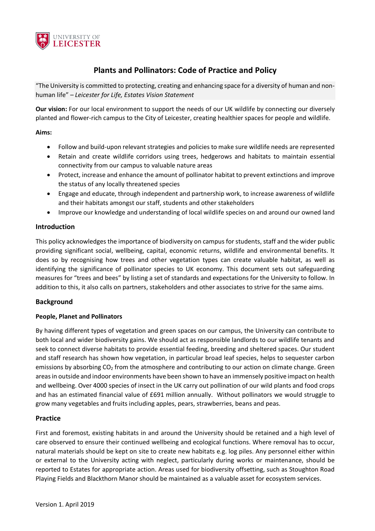

# **Plants and Pollinators: Code of Practice and Policy**

"The University is committed to protecting, creating and enhancing space for a diversity of human and nonhuman life" *– Leicester for Life, Estates Vision Statement*

**Our vision:** For our local environment to support the needs of our UK wildlife by connecting our diversely planted and flower-rich campus to the City of Leicester, creating healthier spaces for people and wildlife.

## **Aims:**

- Follow and build-upon relevant strategies and policies to make sure wildlife needs are represented
- Retain and create wildlife corridors using trees, hedgerows and habitats to maintain essential connectivity from our campus to valuable nature areas
- Protect, increase and enhance the amount of pollinator habitat to prevent extinctions and improve the status of any locally threatened species
- Engage and educate, through independent and partnership work, to increase awareness of wildlife and their habitats amongst our staff, students and other stakeholders
- Improve our knowledge and understanding of local wildlife species on and around our owned land

## **Introduction**

This policy acknowledges the importance of biodiversity on campus for students, staff and the wider public providing significant social, wellbeing, capital, economic returns, wildlife and environmental benefits. It does so by recognising how trees and other vegetation types can create valuable habitat, as well as identifying the significance of pollinator species to UK economy. This document sets out safeguarding measures for "trees and bees" by listing a set of standards and expectations for the University to follow. In addition to this, it also calls on partners, stakeholders and other associates to strive for the same aims.

# **Background**

#### **People, Planet and Pollinators**

By having different types of vegetation and green spaces on our campus, the University can contribute to both local and wider biodiversity gains. We should act as responsible landlords to our wildlife tenants and seek to connect diverse habitats to provide essential feeding, breeding and sheltered spaces. Our student and staff research has shown how vegetation, in particular broad leaf species, helps to sequester carbon emissions by absorbing CO<sub>2</sub> from the atmosphere and contributing to our action on climate change. Green areas in outside and indoor environments have been shown to have an immensely positive impact on health and wellbeing. Over 4000 species of insect in the UK carry out pollination of our wild plants and food crops and has an estimated financial value of £691 million annually. Without pollinators we would struggle to grow many vegetables and fruits including apples, pears, strawberries, beans and peas.

# **Practice**

First and foremost, existing habitats in and around the University should be retained and a high level of care observed to ensure their continued wellbeing and ecological functions. Where removal has to occur, natural materials should be kept on site to create new habitats e.g. log piles. Any personnel either within or external to the University acting with neglect, particularly during works or maintenance, should be reported to Estates for appropriate action. Areas used for biodiversity offsetting, such as Stoughton Road Playing Fields and Blackthorn Manor should be maintained as a valuable asset for ecosystem services.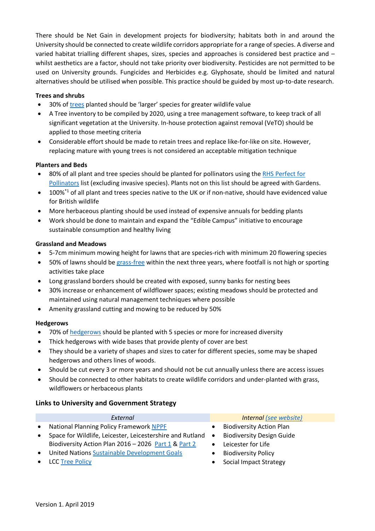There should be Net Gain in development projects for biodiversity; habitats both in and around the University should be connected to create wildlife corridors appropriate for a range of species. A diverse and varied habitat trialling different shapes, sizes, species and approaches is considered best practice and – whilst aesthetics are a factor, should not take priority over biodiversity. Pesticides are not permitted to be used on University grounds. Fungicides and Herbicides e.g. Glyphosate, should be limited and natural alternatives should be utilised when possible. This practice should be guided by most up-to-date research.

## **Trees and shrubs**

- 30% of [trees](https://www.woodlandtrust.org.uk/plant-trees/why/?gclid=EAIaIQobChMI5-rfvKqx3wIVDhHTCh1LQwvaEAAYASAAEgIKgPD_BwE&gclsrc=aw.ds) planted should be 'larger' species for greater wildlife value
- A Tree inventory to be compiled by 2020, using a tree management software, to keep track of all significant vegetation at the University. In-house protection against removal (VeTO) should be applied to those meeting criteria
- Considerable effort should be made to retain trees and replace like-for-like on site. However, replacing mature with young trees is not considered an acceptable mitigation technique

## **Planters and Beds**

- 80% of all plant and tree species should be planted for pollinators using the RHS [Perfect for](https://www.rhs.org.uk/science/conservation-biodiversity/wildlife/plants-for-pollinators)  [Pollinators](https://www.rhs.org.uk/science/conservation-biodiversity/wildlife/plants-for-pollinators) list (excluding invasive species). Plants not on this list should be agreed with Gardens.
- 100%\*1 of all plant and trees species native to the UK or if non-native, should have evidenced value for British wildlife
- More herbaceous planting should be used instead of expensive annuals for bedding plants
- Work should be done to maintain and expand the "Edible Campus" initiative to encourage sustainable consumption and healthy living

#### **Grassland and Meadows**

- 5-7cm minimum mowing height for lawns that are species-rich with minimum 20 flowering species
- 50% of lawns should be grass-free within the next three years, where footfall is not high or sporting activities take place
- Long grassland borders should be created with exposed, sunny banks for nesting bees
- 30% increase or enhancement of wildflower spaces; existing meadows should be protected and maintained using natural management techniques where possible
- Amenity grassland cutting and mowing to be reduced by 50%

#### **Hedgerows**

- 70% of [hedgerows](https://www.buglife.org.uk/advice-and-publications/advice-on-managing-bap-habitats/ancient-and-species-rich-hedgerows) should be planted with 5 species or more for increased diversity
- Thick hedgerows with wide bases that provide plenty of cover are best
- They should be a variety of shapes and sizes to cater for different species, some may be shaped hedgerows and others lines of woods.
- Should be cut every 3 or more years and should not be cut annually unless there are access issues
- Should be connected to other habitats to create wildlife corridors and under-planted with grass, wildflowers or herbaceous plants

# **Links to University and Government Strategy**

|           | External                                                  |           | Internal (see website)           |
|-----------|-----------------------------------------------------------|-----------|----------------------------------|
| $\bullet$ | <b>National Planning Policy Framework NPPF</b>            |           | <b>Biodiversity Action Plan</b>  |
| $\bullet$ | Space for Wildlife, Leicester, Leicestershire and Rutland | $\bullet$ | <b>Biodiversity Design Guide</b> |
|           | Biodiversity Action Plan 2016 - 2026 Part 1 & Part 2      |           | Leicester for Life               |
| $\bullet$ | <b>United Nations Sustainable Development Goals</b>       |           | <b>Biodiversity Policy</b>       |
| $\bullet$ | LCC Tree Policy                                           |           | Social Impact Strategy           |
|           |                                                           |           |                                  |